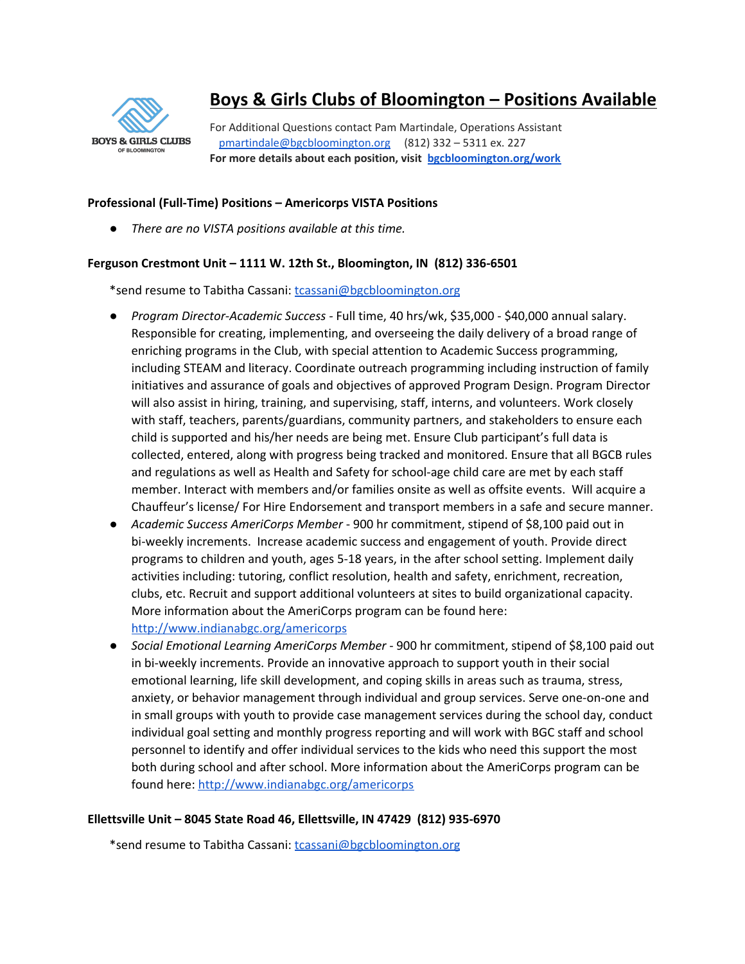

# **Boys & Girls Clubs of Bloomington – Positions Available**

For Additional Questions contact Pam Martindale, Operations Assistant [pmartindale@bgcbloomington.org](mailto:pmartindale@bgcbloomington.org) (812) 332 – 5311 ex. 227 **For more details about each position, visit [bgcbloomington.org/work](https://bgcbloomington.org/work/)**

# **Professional (Full-Time) Positions – Americorps VISTA Positions**

*● There are no VISTA positions available at this time.*

# **Ferguson Crestmont Unit – 1111 W. 12th St., Bloomington, IN (812) 336-6501**

\*send resume to Tabitha Cassani: [tcassani@bgcbloomington.org](mailto:tcassani@bgcbloomington.org)

- *Program Director-Academic Success -* Full time, 40 hrs/wk, \$35,000 \$40,000 annual salary. Responsible for creating, implementing, and overseeing the daily delivery of a broad range of enriching programs in the Club, with special attention to Academic Success programming, including STEAM and literacy. Coordinate outreach programming including instruction of family initiatives and assurance of goals and objectives of approved Program Design. Program Director will also assist in hiring, training, and supervising, staff, interns, and volunteers. Work closely with staff, teachers, parents/guardians, community partners, and stakeholders to ensure each child is supported and his/her needs are being met. Ensure Club participant's full data is collected, entered, along with progress being tracked and monitored. Ensure that all BGCB rules and regulations as well as Health and Safety for school-age child care are met by each staff member. Interact with members and/or families onsite as well as offsite events. Will acquire a Chauffeur's license/ For Hire Endorsement and transport members in a safe and secure manner.
- *Academic Success AmeriCorps Member* 900 hr commitment, stipend of \$8,100 paid out in bi-weekly increments. Increase academic success and engagement of youth. Provide direct programs to children and youth, ages 5-18 years, in the after school setting. Implement daily activities including: tutoring, conflict resolution, health and safety, enrichment, recreation, clubs, etc. Recruit and support additional volunteers at sites to build organizational capacity. More information about the AmeriCorps program can be found here: <http://www.indianabgc.org/americorps>
- *Social Emotional Learning AmeriCorps Member* 900 hr commitment, stipend of \$8,100 paid out in bi-weekly increments. Provide an innovative approach to support youth in their social emotional learning, life skill development, and coping skills in areas such as trauma, stress, anxiety, or behavior management through individual and group services. Serve one-on-one and in small groups with youth to provide case management services during the school day, conduct individual goal setting and monthly progress reporting and will work with BGC staff and school personnel to identify and offer individual services to the kids who need this support the most both during school and after school. More information about the AmeriCorps program can be found here: <http://www.indianabgc.org/americorps>

# **Ellettsville Unit – 8045 State Road 46, Ellettsville, IN 47429 (812) 935-6970**

\*send resume to Tabitha Cassani: [tcassani@bgcbloomington.org](mailto:tcassani@bgcbloomington.org)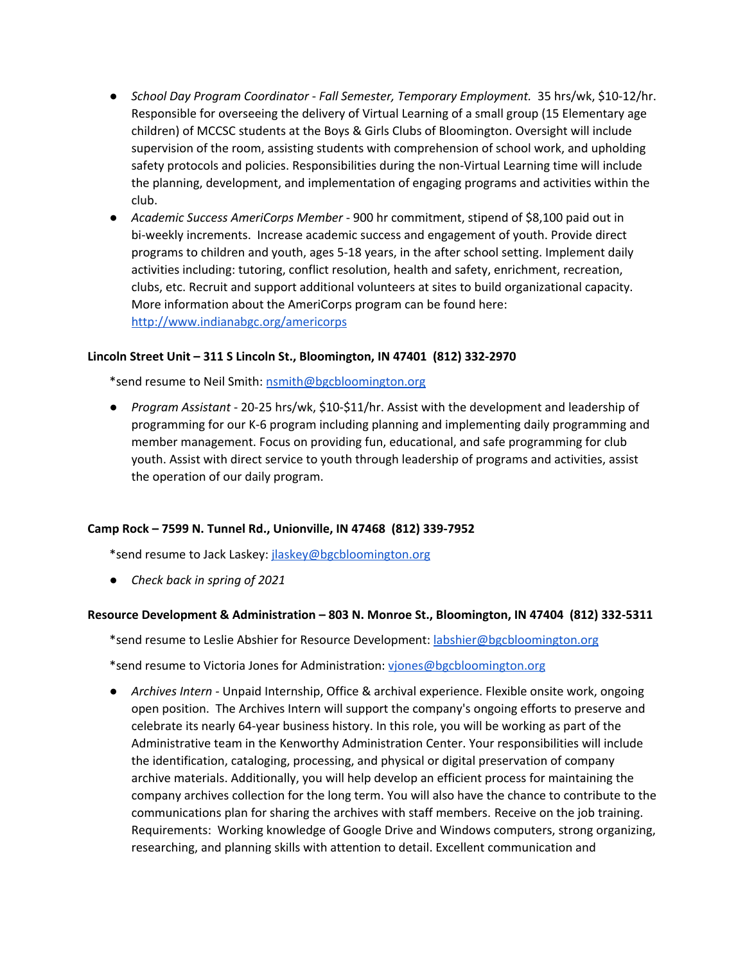- *School Day Program Coordinator Fall Semester, Temporary Employment.* 35 hrs/wk, \$10-12/hr. Responsible for overseeing the delivery of Virtual Learning of a small group (15 Elementary age children) of MCCSC students at the Boys & Girls Clubs of Bloomington. Oversight will include supervision of the room, assisting students with comprehension of school work, and upholding safety protocols and policies. Responsibilities during the non-Virtual Learning time will include the planning, development, and implementation of engaging programs and activities within the club.
- *Academic Success AmeriCorps Member* 900 hr commitment, stipend of \$8,100 paid out in bi-weekly increments. Increase academic success and engagement of youth. Provide direct programs to children and youth, ages 5-18 years, in the after school setting. Implement daily activities including: tutoring, conflict resolution, health and safety, enrichment, recreation, clubs, etc. Recruit and support additional volunteers at sites to build organizational capacity. More information about the AmeriCorps program can be found here: <http://www.indianabgc.org/americorps>

# **Lincoln Street Unit – 311 S Lincoln St., Bloomington, IN 47401 (812) 332-2970**

\*send resume to Neil Smith: [nsmith@bgcbloomington.org](mailto:nsmith@bgcbloomington.org)

● *Program Assistant* - 20-25 hrs/wk, \$10-\$11/hr. Assist with the development and leadership of programming for our K-6 program including planning and implementing daily programming and member management. Focus on providing fun, educational, and safe programming for club youth. Assist with direct service to youth through leadership of programs and activities, assist the operation of our daily program.

### **Camp Rock – 7599 N. Tunnel Rd., Unionville, IN 47468 (812) 339-7952**

\*send resume to Jack Laskey: [jlaskey@bgcbloomington.org](mailto:jlaskey@bgcbloomington.org)

● *Check back in spring of 2021*

### **Resource Development & Administration – 803 N. Monroe St., Bloomington, IN 47404 (812) 332-5311**

\*send resume to Leslie Abshier for Resource Development: [labshier@bgcbloomington.org](mailto:labshier@bgcbloomington.org)

\*send resume to Victoria Jones for Administration: [vjones@bgcbloomington.org](mailto:vjones@bgcbloomington.org)

● *Archives Intern -* Unpaid Internship, Office & archival experience. Flexible onsite work, ongoing open position. The Archives Intern will support the company's ongoing efforts to preserve and celebrate its nearly 64-year business history. In this role, you will be working as part of the Administrative team in the Kenworthy Administration Center. Your responsibilities will include the identification, cataloging, processing, and physical or digital preservation of company archive materials. Additionally, you will help develop an efficient process for maintaining the company archives collection for the long term. You will also have the chance to contribute to the communications plan for sharing the archives with staff members. Receive on the job training. Requirements: Working knowledge of Google Drive and Windows computers, strong organizing, researching, and planning skills with attention to detail. Excellent communication and